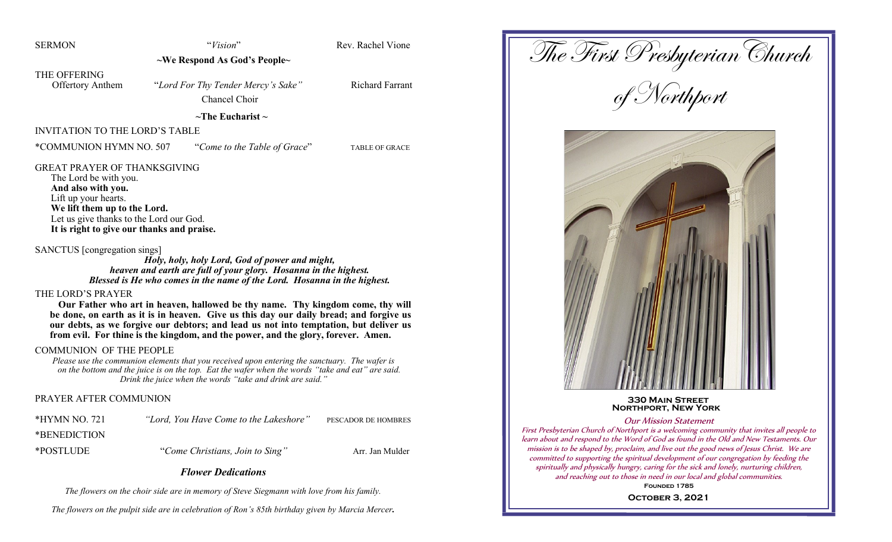| <b>SERMON</b>                                                                                                                                                                                       | "Vision"                                                                                                                                                                                                                                                                                                                                                                                                                 | Rev. Rachel Vione      |                 |
|-----------------------------------------------------------------------------------------------------------------------------------------------------------------------------------------------------|--------------------------------------------------------------------------------------------------------------------------------------------------------------------------------------------------------------------------------------------------------------------------------------------------------------------------------------------------------------------------------------------------------------------------|------------------------|-----------------|
|                                                                                                                                                                                                     | $\sim$ We Respond As God's People $\sim$                                                                                                                                                                                                                                                                                                                                                                                 |                        | The First Prest |
| THE OFFERING<br><b>Offertory Anthem</b>                                                                                                                                                             | "Lord For Thy Tender Mercy's Sake"<br>Chancel Choir                                                                                                                                                                                                                                                                                                                                                                      | <b>Richard Farrant</b> |                 |
|                                                                                                                                                                                                     | $\sim$ The Eucharist $\sim$                                                                                                                                                                                                                                                                                                                                                                                              |                        |                 |
| <b>INVITATION TO THE LORD'S TABLE</b>                                                                                                                                                               |                                                                                                                                                                                                                                                                                                                                                                                                                          |                        |                 |
| *COMMUNION HYMN NO. 507                                                                                                                                                                             | "Come to the Table of Grace"                                                                                                                                                                                                                                                                                                                                                                                             | <b>TABLE OF GRACE</b>  |                 |
| The Lord be with you.<br>And also with you.<br>Lift up your hearts.<br>We lift them up to the Lord.<br>Let us give thanks to the Lord our God.<br>SANCTUS [congregation sings]<br>THE LORD'S PRAYER | It is right to give our thanks and praise.<br>Holy, holy, holy Lord, God of power and might,<br>heaven and earth are full of your glory. Hosanna in the highest.<br>Blessed is He who comes in the name of the Lord. Hosanna in the highest.<br>Our Father who art in heaven, hallowed be thy name. Thy kingdom come, thy will<br>be done, on earth as it is in heaven. Give us this day our daily bread; and forgive us |                        |                 |
|                                                                                                                                                                                                     | our debts, as we forgive our debtors; and lead us not into temptation, but deliver us<br>from evil. For thine is the kingdom, and the power, and the glory, forever. Amen.                                                                                                                                                                                                                                               |                        |                 |

#### COMMUNION OF THE PEOPLE

*Please use the communion elements that you received upon entering the sanctuary. The wafer is on the bottom and the juice is on the top. Eat the wafer when the words "take and eat" are said. Drink the juice when the words "take and drink are said."*

#### PRAYER AFTER COMMUNION

| *HYMN NO. 721 | "Lord, You Have Come to the Lakeshore" | PESCADOR DE HOMBRES |
|---------------|----------------------------------------|---------------------|
| *BENEDICTION  |                                        |                     |
| *POSTLUDE     | "Come Christians, Join to Sing"        | Arr. Jan Mulder     |

# *Flower Dedications*

*The flowers on the choir side are in memory of Steve Siegmann with love from his family.*

*The flowers on the pulpit side are in celebration of Ron's 85th birthday given by Marcia Mercer.*

The First Presbyterian Church

of Northport



 **330 Main Street Northport, New York**

#### Our Mission Statement

First Presbyterian Church of Northport is a welcoming community that invites all people to learn about and respond to the Word of God as found in the Old and New Testaments. Our mission is to be shaped by, proclaim, and live out the good news of Jesus Christ. We are committed to supporting the spiritual development of our congregation by feeding the spiritually and physically hungry, caring for the sick and lonely, nurturing children, and reaching out to those in need in our local and global communities.

FOUNDED 1785

**October 3, 2021**